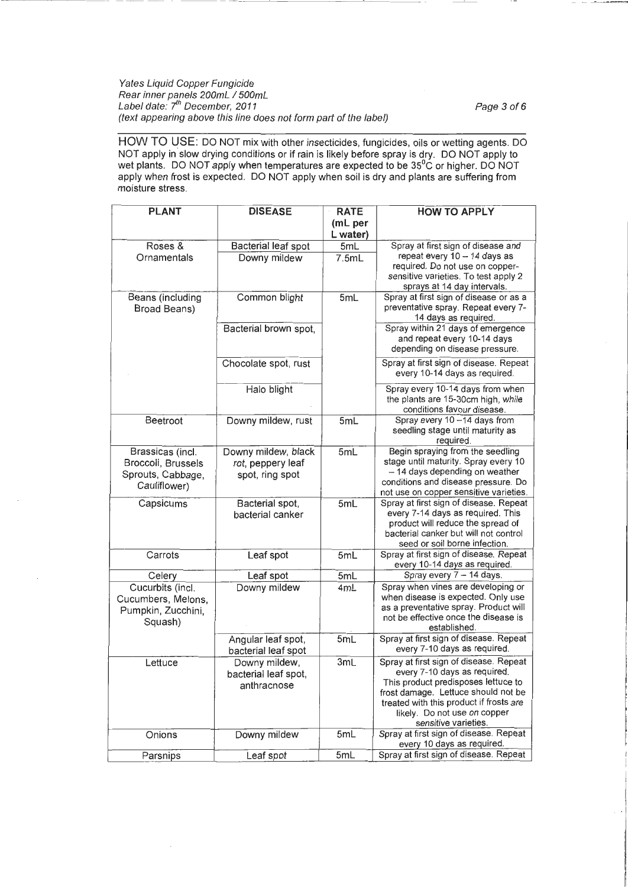Yates Liquid Copper Fungicide Rear inner panels 200mL I 500mL Label date: *fh* December, 2011 Page 3 of6 (text appearing above this line does not form part of the label)

HOW TO USE: DO NOT mix with other insecticides, fungicides, oils or wetting agents. DO NOT apply in slow drying conditions or if rain is likely before spray is dry. DO NOT apply to wet plants. DO NOT apply when temperatures are expected to be 35°C or higher. DO NOT apply when frost is expected. DO NOT apply when soil is dry and plants are suffering from moisture stress.

| <b>PLANT</b>                                                                | <b>DISEASE</b>                                              | <b>RATE</b><br>(mL per | <b>HOW TO APPLY</b>                                                                                                                                                                                                                                     |
|-----------------------------------------------------------------------------|-------------------------------------------------------------|------------------------|---------------------------------------------------------------------------------------------------------------------------------------------------------------------------------------------------------------------------------------------------------|
|                                                                             |                                                             | L water)               |                                                                                                                                                                                                                                                         |
| Roses &<br>Ornamentals                                                      | Bacterial leaf spot<br>Downy mildew                         | 5mL<br>7.5mL           | Spray at first sign of disease and<br>repeat every 10 - 14 days as<br>required. Do not use on copper-<br>sensitive varieties. To test apply 2<br>sprays at 14 day intervals.                                                                            |
| Beans (including<br>Broad Beans)                                            | Common blight                                               | 5mL                    | Spray at first sign of disease or as a<br>preventative spray. Repeat every 7-<br>14 days as required.                                                                                                                                                   |
|                                                                             | Bacterial brown spot,                                       |                        | Spray within 21 days of emergence<br>and repeat every 10-14 days<br>depending on disease pressure.                                                                                                                                                      |
|                                                                             | Chocolate spot, rust                                        |                        | Spray at first sign of disease. Repeat<br>every 10-14 days as required.                                                                                                                                                                                 |
|                                                                             | Halo blight                                                 |                        | Spray every 10-14 days from when<br>the plants are 15-30cm high, while<br>conditions favour disease.                                                                                                                                                    |
| Beetroot                                                                    | Downy mildew, rust                                          | 5mL                    | Spray every 10-14 days from<br>seedling stage until maturity as<br>required.                                                                                                                                                                            |
| Brassicas (incl.<br>Broccoli, Brussels<br>Sprouts, Cabbage,<br>Cauliflower) | Downy mildew, black<br>rot, peppery leaf<br>spot, ring spot | 5mL                    | Begin spraying from the seedling<br>stage until maturity. Spray every 10<br>- 14 days depending on weather<br>conditions and disease pressure. Do<br>not use on copper sensitive varieties.                                                             |
| Capsicums                                                                   | Bacterial spot,<br>bacterial canker                         | 5mL                    | Spray at first sign of disease. Repeat<br>every 7-14 days as required. This<br>product will reduce the spread of<br>bacterial canker but will not control<br>seed or soil borne infection.                                                              |
| Carrots                                                                     | Leaf spot                                                   | 5mL                    | Spray at first sign of disease. Repeat<br>every 10-14 days as required.                                                                                                                                                                                 |
| Celery                                                                      | Leaf spot                                                   | 5mL                    | Spray every 7 - 14 days.                                                                                                                                                                                                                                |
| Cucurbits (incl.<br>Cucumbers, Melons,<br>Pumpkin, Zucchini,<br>Squash)     | Downy mildew                                                | 4mL                    | Spray when vines are developing or<br>when disease is expected. Only use<br>as a preventative spray. Product will<br>not be effective once the disease is<br>established.                                                                               |
|                                                                             | Angular leaf spot,<br>bacterial leaf spot                   | 5mL                    | Spray at first sign of disease. Repeat<br>every 7-10 days as required.                                                                                                                                                                                  |
| Lettuce                                                                     | Downy mildew,<br>bacterial leaf spot,<br>anthracnose        | 3mL                    | Spray at first sign of disease. Repeat<br>every 7-10 days as required.<br>This product predisposes lettuce to<br>frost damage. Lettuce should not be<br>treated with this product if frosts are<br>likely. Do not use on copper<br>sensitive varieties. |
| Onions                                                                      | Downy mildew                                                | 5mL                    | Spray at first sign of disease. Repeat<br>every 10 days as required.                                                                                                                                                                                    |
| Parsnips                                                                    | Leaf spot                                                   | 5mL                    | Spray at first sign of disease. Repeat                                                                                                                                                                                                                  |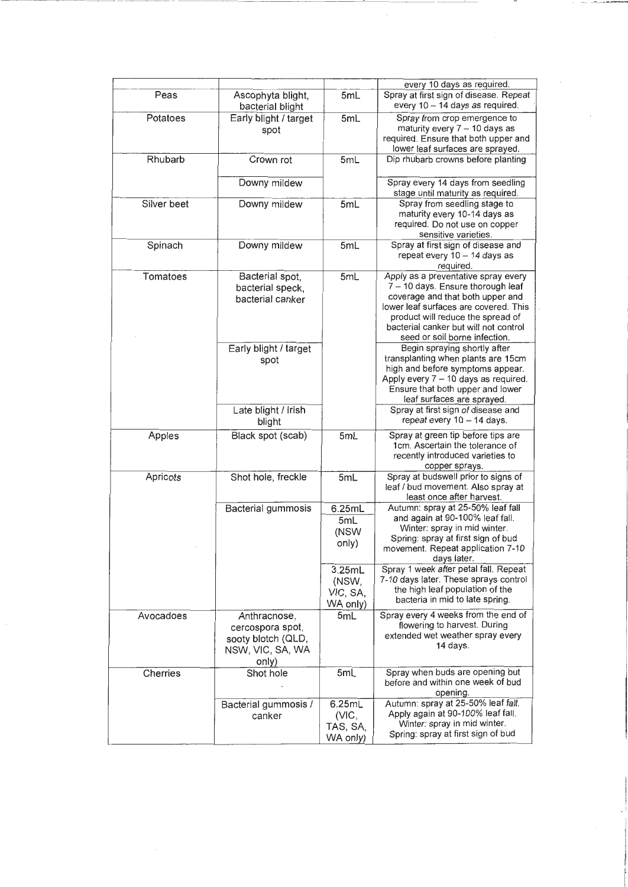| Peas        | Ascophyta blight,<br>bacterial blight                                               | 5mL                                     | every 10 days as required.<br>Spray at first sign of disease. Repeat<br>every 10 - 14 days as required.                                                                                                                                                              |
|-------------|-------------------------------------------------------------------------------------|-----------------------------------------|----------------------------------------------------------------------------------------------------------------------------------------------------------------------------------------------------------------------------------------------------------------------|
| Potatoes    | Early blight / target<br>spot                                                       | 5mL                                     | Spray from crop emergence to<br>maturity every $7 - 10$ days as<br>required. Ensure that both upper and<br>lower leaf surfaces are sprayed.                                                                                                                          |
| Rhubarb     | Crown rot                                                                           | 5mL                                     | Dip rhubarb crowns before planting                                                                                                                                                                                                                                   |
|             | Downy mildew                                                                        |                                         | Spray every 14 days from seedling<br>stage until maturity as required.                                                                                                                                                                                               |
| Silver beet | Downy mildew                                                                        | 5mL                                     | Spray from seedling stage to<br>maturity every 10-14 days as<br>required. Do not use on copper<br>sensitive varieties.                                                                                                                                               |
| Spinach     | Downy mildew                                                                        | 5mL                                     | Spray at first sign of disease and<br>repeat every 10 - 14 days as<br>required.                                                                                                                                                                                      |
| Tomatoes    | Bacterial spot,<br>bacterial speck,<br>bacterial canker                             | 5mL                                     | Apply as a preventative spray every<br>7 - 10 days. Ensure thorough leaf<br>coverage and that both upper and<br>lower leaf surfaces are covered. This<br>product will reduce the spread of<br>bacterial canker but will not control<br>seed or soil borne infection. |
|             | Early blight / target<br>spot                                                       |                                         | Begin spraying shortly after<br>transplanting when plants are 15cm<br>high and before symptoms appear.<br>Apply every 7 - 10 days as required.<br>Ensure that both upper and lower<br>leaf surfaces are sprayed.                                                     |
|             | Late blight / Irish<br>blight                                                       |                                         | Spray at first sign of disease and<br>repeat every 10 - 14 days.                                                                                                                                                                                                     |
| Apples      | Black spot (scab)                                                                   | 5mL                                     | Spray at green tip before tips are<br>1cm. Ascertain the tolerance of<br>recently introduced varieties to<br>copper sprays.                                                                                                                                          |
| Apricots    | Shot hole, freckle                                                                  | 5mL                                     | Spray at budswell prior to signs of<br>leaf / bud movement. Also spray at<br>least once after harvest.                                                                                                                                                               |
|             | Bacterial gummosis                                                                  | 6.25mL<br>5mL                           | Autumn: spray at 25-50% leaf fall<br>and again at 90-100% leaf fall.                                                                                                                                                                                                 |
|             |                                                                                     | (NSW<br>only)                           | Winter: spray in mid winter.<br>Spring: spray at first sign of bud<br>movement. Repeat application 7-10<br>days later.                                                                                                                                               |
|             |                                                                                     | 3.25mL<br>(NSW,<br>VIC, SA,<br>WA only) | Spray 1 week after petal fall. Repeat<br>7-10 days later. These sprays control<br>the high leaf population of the<br>bacteria in mid to late spring.                                                                                                                 |
| Avocadoes   | Anthracnose,<br>cercospora spot,<br>sooty blotch (QLD,<br>NSW, VIC, SA, WA<br>only) | 5mL                                     | Spray every 4 weeks from the end of<br>flowering to harvest. During<br>extended wet weather spray every<br>14 days.                                                                                                                                                  |
| Cherries    | Shot hole                                                                           | 5mL                                     | Spray when buds are opening but<br>before and within one week of bud<br>opening.                                                                                                                                                                                     |
|             | Bacterial gummosis /<br>canker                                                      | 6.25mL<br>(VIC,<br>TAS, SA,<br>WA only) | Autumn: spray at 25-50% leaf fall.<br>Apply again at 90-100% leaf fall.<br>Winter: spray in mid winter.<br>Spring: spray at first sign of bud                                                                                                                        |

 $\alpha$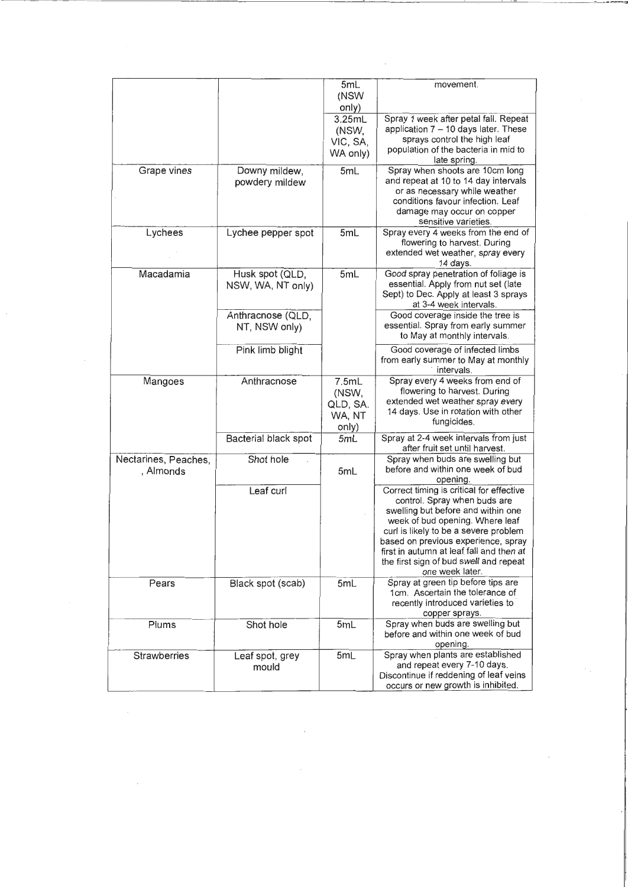|                                   |                                      | 5mL<br>(NSW                                      | movement.                                                                                                                                                                                                                                                                                                                                  |
|-----------------------------------|--------------------------------------|--------------------------------------------------|--------------------------------------------------------------------------------------------------------------------------------------------------------------------------------------------------------------------------------------------------------------------------------------------------------------------------------------------|
|                                   |                                      | only)<br>3.25mL<br>(NSW,<br>VIC, SA,<br>WA only) | Spray 1 week after petal fall. Repeat<br>application 7 - 10 days later. These<br>sprays control the high leaf<br>population of the bacteria in mid to                                                                                                                                                                                      |
| Grape vines                       | Downy mildew,<br>powdery mildew      | 5mL                                              | late spring.<br>Spray when shoots are 10cm long<br>and repeat at 10 to 14 day intervals<br>or as necessary while weather<br>conditions favour infection. Leaf<br>damage may occur on copper<br>sensitive varieties.                                                                                                                        |
| Lychees                           | Lychee pepper spot                   | 5mL                                              | Spray every 4 weeks from the end of<br>flowering to harvest. During<br>extended wet weather, spray every<br>14 days.                                                                                                                                                                                                                       |
| Macadamia                         | Husk spot (QLD,<br>NSW, WA, NT only) | 5mL                                              | Good spray penetration of foliage is<br>essential. Apply from nut set (late<br>Sept) to Dec. Apply at least 3 sprays<br>at 3-4 week intervals.                                                                                                                                                                                             |
|                                   | Anthracnose (QLD,<br>NT, NSW only)   |                                                  | Good coverage inside the tree is<br>essential. Spray from early summer<br>to May at monthly intervals.                                                                                                                                                                                                                                     |
|                                   | Pink limb blight                     |                                                  | Good coverage of infected limbs<br>from early summer to May at monthly<br>intervals.                                                                                                                                                                                                                                                       |
| Mangoes                           | Anthracnose                          | 7.5mL<br>(NSW,<br>QLD, SA.<br>WA, NT<br>only)    | Spray every 4 weeks from end of<br>flowering to harvest. During<br>extended wet weather spray every<br>14 days. Use in rotation with other<br>fungicides.                                                                                                                                                                                  |
|                                   | Bacterial black spot                 | 5mL                                              | Spray at 2-4 week intervals from just<br>after fruit set until harvest.                                                                                                                                                                                                                                                                    |
| Nectarines, Peaches,<br>, Almonds | Shot hole                            | 5mL                                              | Spray when buds are swelling but<br>before and within one week of bud<br>opening.                                                                                                                                                                                                                                                          |
|                                   | Leaf curl                            |                                                  | Correct timing is critical for effective<br>control. Spray when buds are<br>swelling but before and within one<br>week of bud opening. Where leaf<br>curl is likely to be a severe problem<br>based on previous experience, spray<br>first in autumn at leaf fall and then at<br>the first sign of bud swell and repeat<br>one week later. |
| Pears                             | Black spot (scab)                    | 5mL                                              | Spray at green tip before tips are<br>1cm. Ascertain the tolerance of<br>recently introduced varieties to<br>copper sprays.                                                                                                                                                                                                                |
| Plums                             | Shot hole                            | 5mL                                              | Spray when buds are swelling but<br>before and within one week of bud<br>opening.                                                                                                                                                                                                                                                          |
| Strawberries                      | Leaf spot, grey<br>mould             | 5mL                                              | Spray when plants are established<br>and repeat every 7-10 days.<br>Discontinue if reddening of leaf veins<br>occurs or new growth is inhibited.                                                                                                                                                                                           |

 $\label{eq:2} \frac{1}{2} \int_{0}^{2\pi} \frac{1}{2} \, \mathrm{d} \theta \, \mathrm{d} \theta \, \mathrm{d} \theta \, \mathrm{d} \theta \, \mathrm{d} \theta \, \mathrm{d} \theta \, \mathrm{d} \theta \, \mathrm{d} \theta \, \mathrm{d} \theta \, \mathrm{d} \theta \, \mathrm{d} \theta \, \mathrm{d} \theta \, \mathrm{d} \theta \, \mathrm{d} \theta \, \mathrm{d} \theta \, \mathrm{d} \theta \, \mathrm{d} \theta \, \mathrm{d} \theta \, \mathrm{d} \theta \, \mathrm{d} \theta \, \mathrm{d} \theta$ 

 $\sim$  .

 $\hat{\mathcal{L}}$ 

 $\label{eq:2.1} \frac{1}{2} \sum_{i=1}^n \frac{1}{2} \sum_{j=1}^n \frac{1}{2} \sum_{j=1}^n \frac{1}{2} \sum_{j=1}^n \frac{1}{2} \sum_{j=1}^n \frac{1}{2} \sum_{j=1}^n \frac{1}{2} \sum_{j=1}^n \frac{1}{2} \sum_{j=1}^n \frac{1}{2} \sum_{j=1}^n \frac{1}{2} \sum_{j=1}^n \frac{1}{2} \sum_{j=1}^n \frac{1}{2} \sum_{j=1}^n \frac{1}{2} \sum_{j=1}^n \frac{$